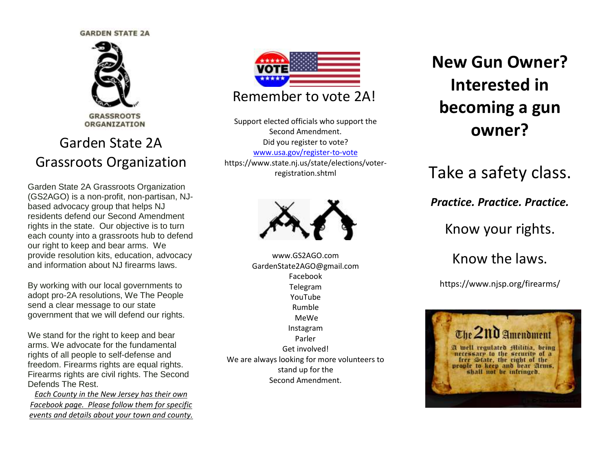#### **GARDEN STATE 2A**



**ORGANIZATION** 

### Garden State 2A Grassroots Organization

Garden State 2A Grassroots Organization (GS2AGO) is a non-profit, non-partisan, NJbased advocacy group that helps NJ residents defend our Second Amendment rights in the state. Our objective is to turn each county into a grassroots hub to defend our right to keep and bear arms. We provide resolution kits, education, advocacy and information about NJ firearms laws.

By working with our local governments to adopt pro-2A resolutions, We The People send a clear message to our state government that we will defend our rights.

We stand for the right to keep and bear arms. We advocate for the fundamental rights of all people to self-defense and freedom. Firearms rights are equal rights. Firearms rights are civil rights. The Second Defends The Rest.

*Each County in the New Jersey has their own Facebook page. Please follow them for specific events and details about your town and county.*



Support elected officials who support the Second Amendment. Did you register to vote? [www.usa.gov/register-to-vote](http://www.usa.gov/register-to-vote) https://www.state.nj.us/state/elections/voterregistration.shtml



www.GS2AGO.com GardenState2AGO@gmail.com Facebook Telegram YouTube Rumble MeWe Instagram Parler Get involved! We are always looking for more volunteers to stand up for the Second Amendment.

# **New Gun Owner? Interested in becoming a gun owner?**

Take a safety class.

*Practice. Practice. Practice.*

Know your rights.

Know the laws.

https://www.njsp.org/firearms/